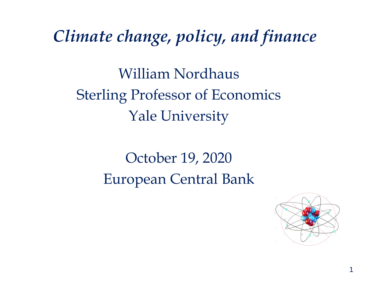*Climate change, policy, and finance*

William Nordhaus Sterling Professor of Economics Yale University

> October 19, 2020 European Central Bank

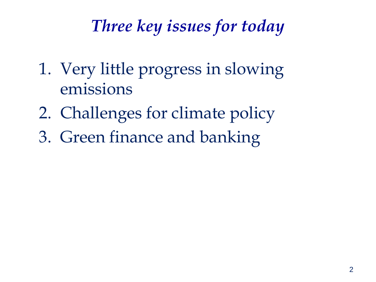#### *Three key issues for today*

- 1. Very little progress in slowing emissions
- 2. Challenges for climate policy
- 3. Green finance and banking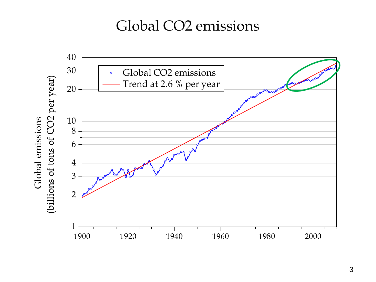#### Global CO2 emissions

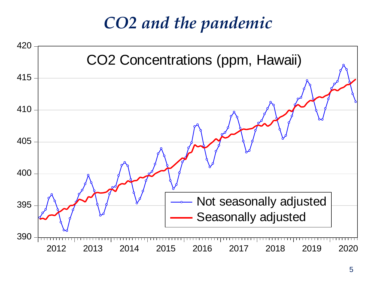#### *CO2 and the pandemic*

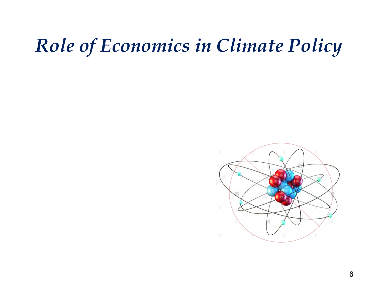# *Role of Economics in Climate Policy*

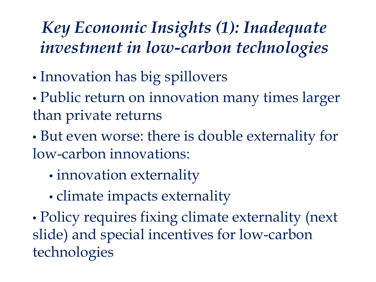#### *Key Economic Insights (1): Inadequate investment in low-carbon technologies*

- Innovation has big spillovers
- Public return on innovation many times larger than private returns
- But even worse: there is double externality for low-carbon innovations:
	- innovation externality
	- climate impacts externality
- Policy requires fixing climate externality (next slide) and special incentives for low-carbon technologies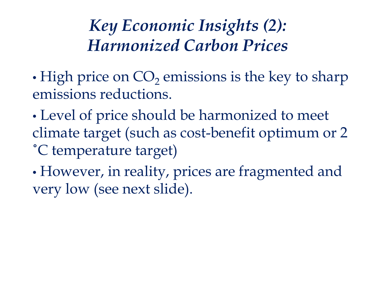*Key Economic Insights (2): Harmonized Carbon Prices*

• High price on  $CO<sub>2</sub>$  emissions is the key to sharp emissions reductions.

- Level of price should be harmonized to meet climate target (such as cost-benefit optimum or 2 ˚C temperature target)
- However, in reality, prices are fragmented and very low (see next slide).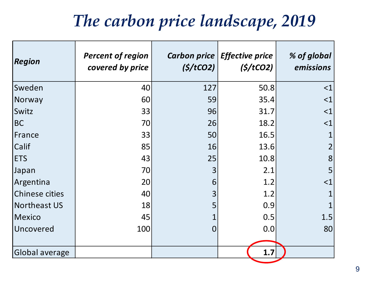#### *The carbon price landscape, 2019*

| <b>Region</b>  | <b>Percent of region</b><br>covered by price | (S/tCO2)       | Carbon price   Effective price<br>(S/tCO2) | % of global<br>emissions |
|----------------|----------------------------------------------|----------------|--------------------------------------------|--------------------------|
| Sweden         | 40                                           | 127            | 50.8                                       | <1                       |
| Norway         | 60                                           | 59             | 35.4                                       | $<$ $1$                  |
| Switz          | 33                                           | 96             | 31.7                                       | $<$ 1                    |
| BC             | 70                                           | 26             | 18.2                                       | $<$ $1$                  |
| France         | 33                                           | 50             | 16.5                                       |                          |
| <b>Calif</b>   | 85                                           | 16             | 13.6                                       |                          |
| <b>ETS</b>     | 43                                           | 25             | 10.8                                       | 8                        |
| Japan          | 70                                           | 3              | 2.1                                        | 5                        |
| Argentina      | 20                                           | 6              | 1.2                                        | $<$ $1$                  |
| Chinese cities | 40                                           | 3              | 1.2                                        |                          |
| Northeast US   | 18                                           | 5              | 0.9                                        |                          |
| Mexico         | 45                                           |                | 0.5                                        | 1.5                      |
| Uncovered      | 100                                          | $\overline{0}$ | 0.0                                        | 80                       |
|                |                                              |                |                                            |                          |
| Global average |                                              |                | 1.7                                        |                          |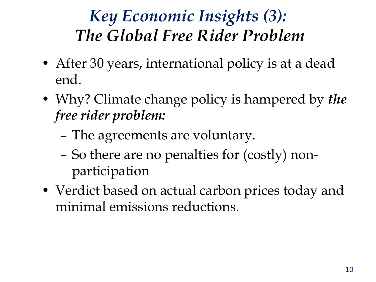### *Key Economic Insights (3): The Global Free Rider Problem*

- After 30 years, international policy is at a dead end.
- Why? Climate change policy is hampered by *the free rider problem:*
	- The agreements are voluntary.
	- So there are no penalties for (costly) nonparticipation
- Verdict based on actual carbon prices today and minimal emissions reductions.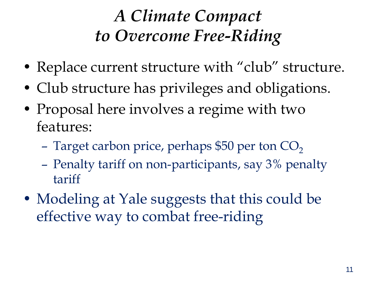## *A Climate Compact to Overcome Free-Riding*

- Replace current structure with "club" structure.
- Club structure has privileges and obligations.
- Proposal here involves a regime with two features:
	- Target carbon price, perhaps \$50 per ton  $CO<sub>2</sub>$
	- Penalty tariff on non-participants, say 3% penalty tariff
- Modeling at Yale suggests that this could be effective way to combat free-riding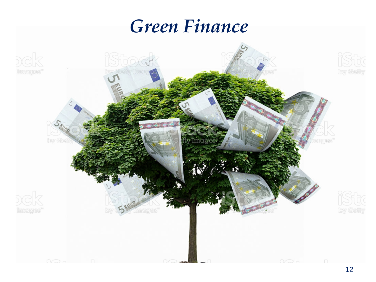### *Green Finance*

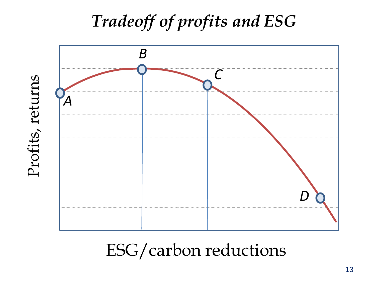## *Tradeoff of profits and ESG*



ESG/carbon reductions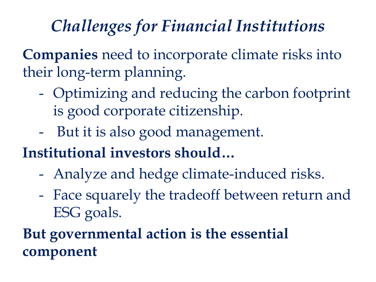### *Challenges for Financial Institutions*

**Companies** need to incorporate climate risks into their long-term planning.

- Optimizing and reducing the carbon footprint is good corporate citizenship.
- But it is also good management.
- **Institutional investors should…**
	- Analyze and hedge climate-induced risks.
	- Face squarely the tradeoff between return and ESG goals.

#### **But governmental action is the essential component**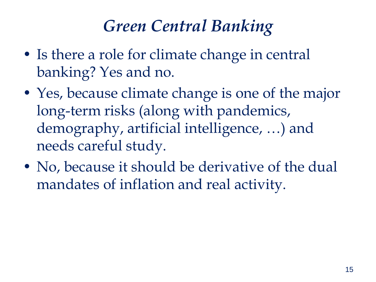#### *Green Central Banking*

- Is there a role for climate change in central banking? Yes and no.
- Yes, because climate change is one of the major long-term risks (along with pandemics, demography, artificial intelligence, …) and needs careful study.
- No, because it should be derivative of the dual mandates of inflation and real activity.